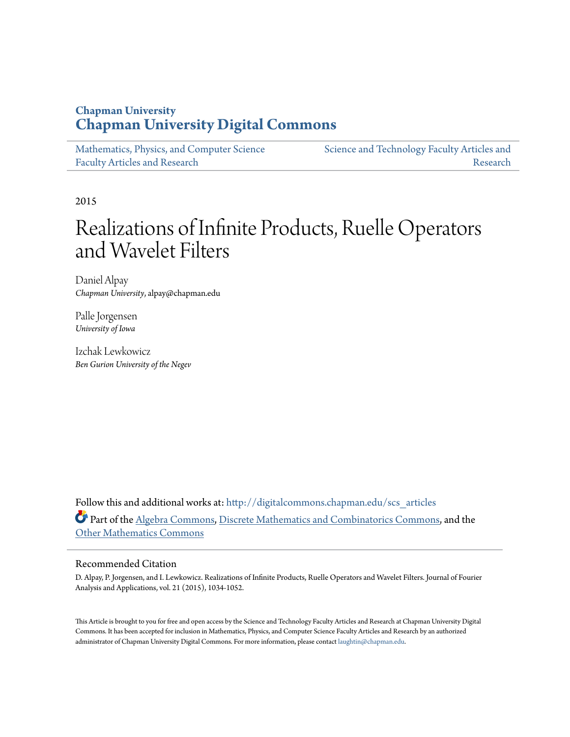### **Chapman University [Chapman University Digital Commons](http://digitalcommons.chapman.edu?utm_source=digitalcommons.chapman.edu%2Fscs_articles%2F438&utm_medium=PDF&utm_campaign=PDFCoverPages)**

| Mathematics, Physics, and Computer Science | Science and Technology Faculty Articles and |
|--------------------------------------------|---------------------------------------------|
| <b>Faculty Articles and Research</b>       | Research                                    |

2015

# Realizations of Infinite Products, Ruelle Operators and Wavelet Filters

Daniel Alpay *Chapman University*, alpay@chapman.edu

Palle Jorgensen *University of Iowa*

Izchak Lewkowicz *Ben Gurion University of the Negev*

Follow this and additional works at: [http://digitalcommons.chapman.edu/scs\\_articles](http://digitalcommons.chapman.edu/scs_articles?utm_source=digitalcommons.chapman.edu%2Fscs_articles%2F438&utm_medium=PDF&utm_campaign=PDFCoverPages) Part of the [Algebra Commons,](http://network.bepress.com/hgg/discipline/175?utm_source=digitalcommons.chapman.edu%2Fscs_articles%2F438&utm_medium=PDF&utm_campaign=PDFCoverPages) [Discrete Mathematics and Combinatorics Commons](http://network.bepress.com/hgg/discipline/178?utm_source=digitalcommons.chapman.edu%2Fscs_articles%2F438&utm_medium=PDF&utm_campaign=PDFCoverPages), and the [Other Mathematics Commons](http://network.bepress.com/hgg/discipline/185?utm_source=digitalcommons.chapman.edu%2Fscs_articles%2F438&utm_medium=PDF&utm_campaign=PDFCoverPages)

#### Recommended Citation

D. Alpay, P. Jorgensen, and I. Lewkowicz. Realizations of Infinite Products, Ruelle Operators and Wavelet Filters. Journal of Fourier Analysis and Applications, vol. 21 (2015), 1034-1052.

This Article is brought to you for free and open access by the Science and Technology Faculty Articles and Research at Chapman University Digital Commons. It has been accepted for inclusion in Mathematics, Physics, and Computer Science Faculty Articles and Research by an authorized administrator of Chapman University Digital Commons. For more information, please contact [laughtin@chapman.edu.](mailto:laughtin@chapman.edu)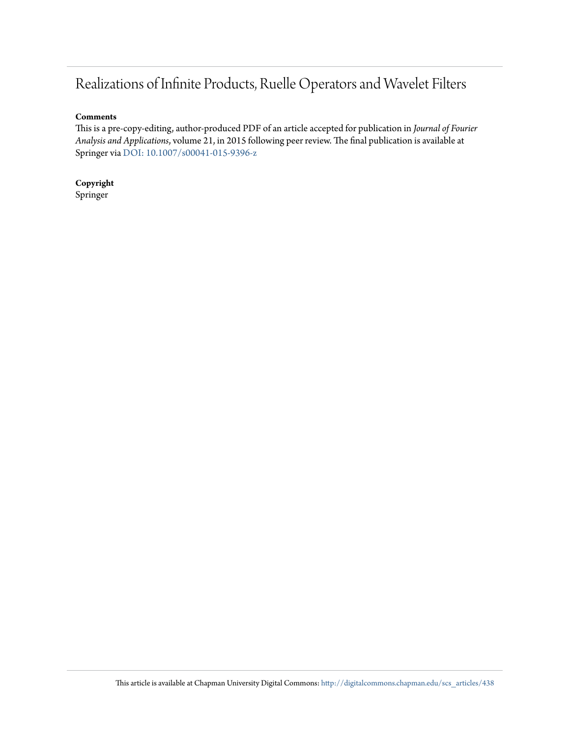## Realizations of Infinite Products, Ruelle Operators and Wavelet Filters

#### **Comments**

This is a pre-copy-editing, author-produced PDF of an article accepted for publication in *Journal of Fourier Analysis and Applications*, volume 21, in 2015 following peer review. The final publication is available at Springer via [DOI: 10.1007/s00041-015-9396-z](http://dx.doi.org/10.1007/s00041-015-9396-z)

**Copyright** Springer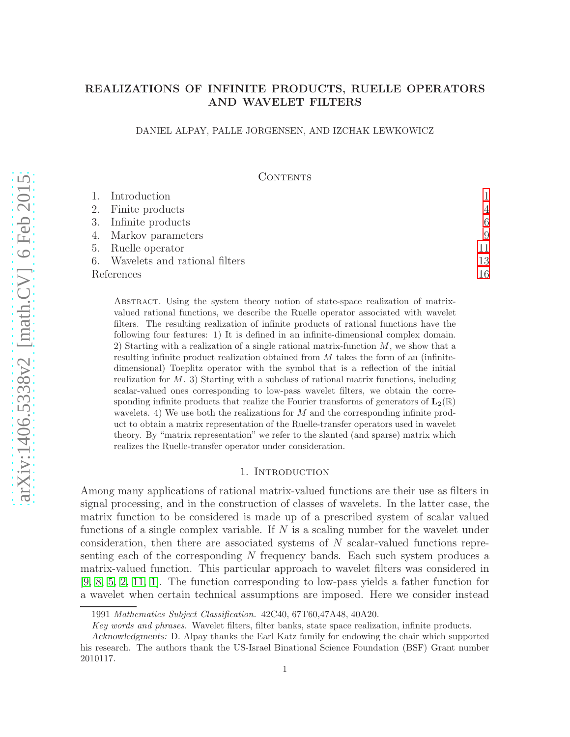### REALIZATIONS OF INFINITE PRODUCTS, RUELLE OPERATORS AND WAVELET FILTERS

#### DANIEL ALPAY, PALLE JORGENSEN, AND IZCHAK LEWKOWICZ

#### CONTENTS

|            | 1. Introduction                  |                |
|------------|----------------------------------|----------------|
|            | 2. Finite products               | $\overline{4}$ |
|            | 3. Infinite products             | 6              |
|            | 4. Markov parameters             | 9              |
|            | 5. Ruelle operator               | 11             |
|            | 6. Wavelets and rational filters | 13             |
| References |                                  | 16             |

Abstract. Using the system theory notion of state-space realization of matrixvalued rational functions, we describe the Ruelle operator associated with wavelet filters. The resulting realization of infinite products of rational functions have the following four features: 1) It is defined in an infinite-dimensional complex domain. 2) Starting with a realization of a single rational matrix-function  $M$ , we show that a resulting infinite product realization obtained from  $M$  takes the form of an (infinitedimensional) Toeplitz operator with the symbol that is a reflection of the initial realization for  $M$ . 3) Starting with a subclass of rational matrix functions, including scalar-valued ones corresponding to low-pass wavelet filters, we obtain the corresponding infinite products that realize the Fourier transforms of generators of  $\mathbf{L}_2(\mathbb{R})$ wavelets. 4) We use both the realizations for  $M$  and the corresponding infinite product to obtain a matrix representation of the Ruelle-transfer operators used in wavelet theory. By "matrix representation" we refer to the slanted (and sparse) matrix which realizes the Ruelle-transfer operator under consideration.

#### 1. INTRODUCTION

<span id="page-2-0"></span>Among many applications of rational matrix-valued functions are their use as filters in signal processing, and in the construction of classes of wavelets. In the latter case, the matrix function to be considered is made up of a prescribed system of scalar valued functions of a single complex variable. If  $N$  is a scaling number for the wavelet under consideration, then there are associated systems of N scalar-valued functions representing each of the corresponding N frequency bands. Each such system produces a matrix-valued function. This particular approach to wavelet filters was considered in [\[9,](#page-17-1) [8,](#page-17-2) [5,](#page-17-3) [2,](#page-17-4) [11,](#page-17-5) [1\]](#page-17-6). The function corresponding to low-pass yields a father function for a wavelet when certain technical assumptions are imposed. Here we consider instead

<sup>1991</sup> *Mathematics Subject Classification.* 42C40, 67T60,47A48, 40A20.

*Key words and phrases.* Wavelet filters, filter banks, state space realization, infinite products.

Acknowledgments: D. Alpay thanks the Earl Katz family for endowing the chair which supported his research. The authors thank the US-Israel Binational Science Foundation (BSF) Grant number 2010117.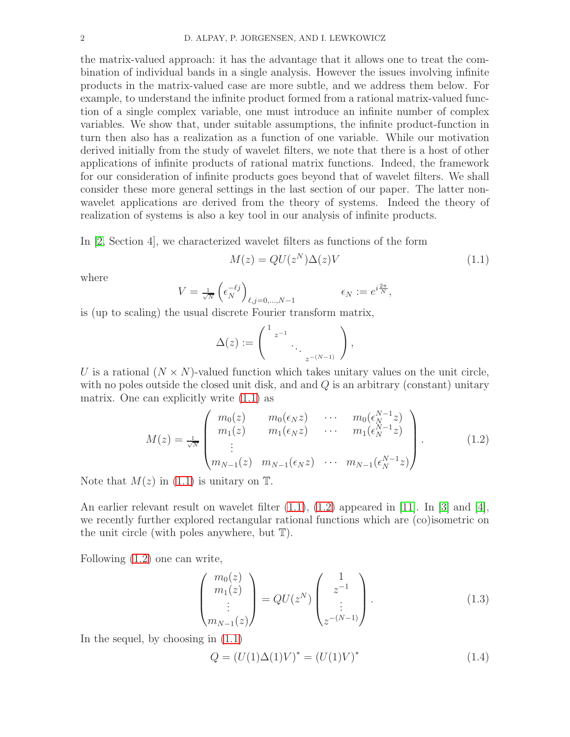the matrix-valued approach: it has the advantage that it allows one to treat the combination of individual bands in a single analysis. However the issues involving infinite products in the matrix-valued case are more subtle, and we address them below. For example, to understand the infinite product formed from a rational matrix-valued function of a single complex variable, one must introduce an infinite number of complex variables. We show that, under suitable assumptions, the infinite product-function in turn then also has a realization as a function of one variable. While our motivation derived initially from the study of wavelet filters, we note that there is a host of other applications of infinite products of rational matrix functions. Indeed, the framework for our consideration of infinite products goes beyond that of wavelet filters. We shall consider these more general settings in the last section of our paper. The latter nonwavelet applications are derived from the theory of systems. Indeed the theory of realization of systems is also a key tool in our analysis of infinite products.

In [\[2,](#page-17-4) Section 4], we characterized wavelet filters as functions of the form

<span id="page-3-0"></span>
$$
M(z) = QU(z^N)\Delta(z)V\tag{1.1}
$$

where

$$
V = \frac{1}{\sqrt{N}} \left( \epsilon_N^{-\ell j} \right)_{\ell, j=0,\dots,N-1} \qquad \epsilon_N := e^{i\frac{2\pi}{N}},
$$

is (up to scaling) the usual discrete Fourier transform matrix,

$$
\Delta(z) := \left( \begin{array}{c} 1_{z^{-1}} & \\ & \ddots \\ & & z^{-(N-1)} \end{array} \right),
$$

U is a rational  $(N \times N)$ -valued function which takes unitary values on the unit circle, with no poles outside the closed unit disk, and and  $Q$  is an arbitrary (constant) unitary matrix. One can explicitly write [\(1.1\)](#page-3-0) as

<span id="page-3-1"></span>
$$
M(z) = \frac{1}{\sqrt{N}} \begin{pmatrix} m_0(z) & m_0(\epsilon_N z) & \cdots & m_0(\epsilon_N^{N-1} z) \\ m_1(z) & m_1(\epsilon_N z) & \cdots & m_1(\epsilon_N^{N-1} z) \\ \vdots & \vdots & \ddots & \vdots \\ m_{N-1}(z) & m_{N-1}(\epsilon_N z) & \cdots & m_{N-1}(\epsilon_N^{N-1} z) \end{pmatrix} .
$$
 (1.2)

Note that  $M(z)$  in [\(1.1\)](#page-3-0) is unitary on  $\mathbb{T}$ .

An earlier relevant result on wavelet filter  $(1.1)$ ,  $(1.2)$  appeared in [\[11\]](#page-17-5). In [\[3\]](#page-17-7) and [\[4\]](#page-17-8), we recently further explored rectangular rational functions which are (co)isometric on the unit circle (with poles anywhere, but T).

Following [\(1.2\)](#page-3-1) one can write,

<span id="page-3-2"></span>
$$
\begin{pmatrix} m_0(z) \\ m_1(z) \\ \vdots \\ m_{N-1}(z) \end{pmatrix} = QU(z^N) \begin{pmatrix} 1 \\ z^{-1} \\ \vdots \\ z^{-(N-1)} \end{pmatrix} . \tag{1.3}
$$

In the sequel, by choosing in [\(1.1\)](#page-3-0)

<span id="page-3-3"></span>
$$
Q = (U(1)\Delta(1)V)^{*} = (U(1)V)^{*}
$$
\n(1.4)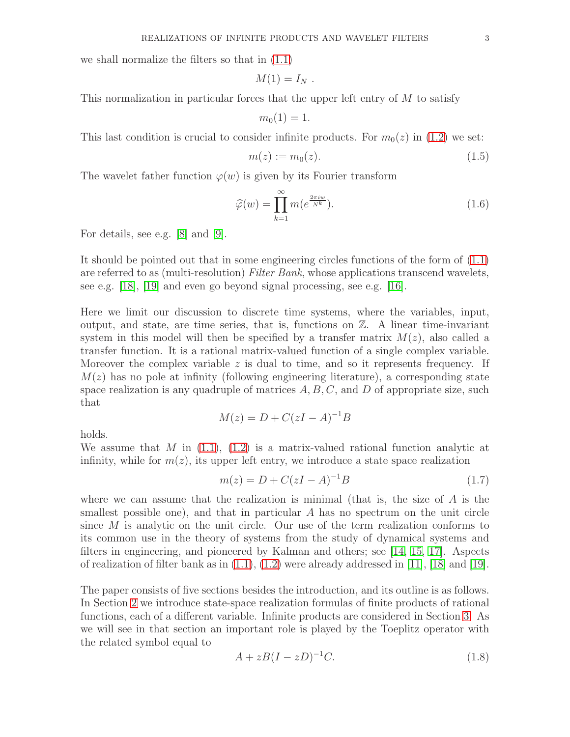we shall normalize the filters so that in [\(1.1\)](#page-3-0)

$$
M(1)=I_N.
$$

This normalization in particular forces that the upper left entry of  $M$  to satisfy

$$
m_0(1)=1.
$$

This last condition is crucial to consider infinite products. For  $m_0(z)$  in [\(1.2\)](#page-3-1) we set:

<span id="page-4-0"></span>
$$
m(z) := m_0(z). \tag{1.5}
$$

The wavelet father function  $\varphi(w)$  is given by its Fourier transform

<span id="page-4-2"></span>
$$
\widehat{\varphi}(w) = \prod_{k=1}^{\infty} m(e^{\frac{2\pi i w}{N^k}}). \tag{1.6}
$$

For details, see e.g. [\[8\]](#page-17-2) and [\[9\]](#page-17-1).

It should be pointed out that in some engineering circles functions of the form of [\(1.1\)](#page-3-0) are referred to as (multi-resolution) Filter Bank, whose applications transcend wavelets, see e.g. [\[18\]](#page-17-9), [\[19\]](#page-17-10) and even go beyond signal processing, see e.g. [\[16\]](#page-17-11).

Here we limit our discussion to discrete time systems, where the variables, input, output, and state, are time series, that is, functions on  $\mathbb{Z}$ . A linear time-invariant system in this model will then be specified by a transfer matrix  $M(z)$ , also called a transfer function. It is a rational matrix-valued function of a single complex variable. Moreover the complex variable  $z$  is dual to time, and so it represents frequency. If  $M(z)$  has no pole at infinity (following engineering literature), a corresponding state space realization is any quadruple of matrices  $A, B, C$ , and  $D$  of appropriate size, such that

$$
M(z) = D + C(zI - A)^{-1}B
$$

holds.

We assume that M in  $(1.1)$ ,  $(1.2)$  is a matrix-valued rational function analytic at infinity, while for  $m(z)$ , its upper left entry, we introduce a state space realization

<span id="page-4-1"></span>
$$
m(z) = D + C(zI - A)^{-1}B
$$
\n(1.7)

where we can assume that the realization is minimal (that is, the size of  $A$  is the smallest possible one), and that in particular  $A$  has no spectrum on the unit circle since  $M$  is analytic on the unit circle. Our use of the term realization conforms to its common use in the theory of systems from the study of dynamical systems and filters in engineering, and pioneered by Kalman and others; see [\[14,](#page-17-12) [15,](#page-17-13) [17\]](#page-17-14). Aspects of realization of filter bank as in  $(1.1)$ ,  $(1.2)$  were already addressed in [\[11\]](#page-17-5), [\[18\]](#page-17-9) and [\[19\]](#page-17-10).

The paper consists of five sections besides the introduction, and its outline is as follows. In Section [2](#page-5-0) we introduce state-space realization formulas of finite products of rational functions, each of a different variable. Infinite products are considered in Section [3.](#page-7-0) As we will see in that section an important role is played by the Toeplitz operator with the related symbol equal to

$$
A + zB(I - zD)^{-1}C.\tag{1.8}
$$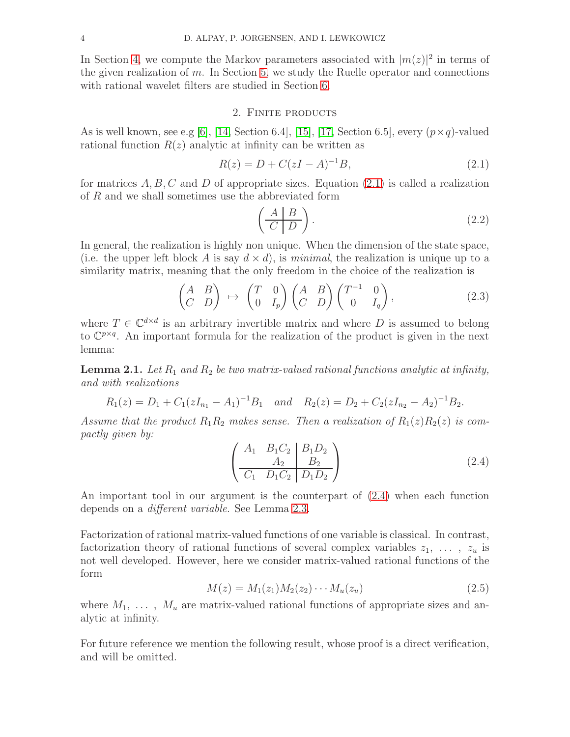In Section [4,](#page-10-0) we compute the Markov parameters associated with  $|m(z)|^2$  in terms of the given realization of  $m$ . In Section [5,](#page-12-0) we study the Ruelle operator and connections with rational wavelet filters are studied in Section [6.](#page-14-0)

#### 2. Finite products

<span id="page-5-0"></span>As is well known, see e.g [\[6\]](#page-17-15), [\[14,](#page-17-12) Section 6.4], [\[15\]](#page-17-13), [\[17,](#page-17-14) Section 6.5], every  $(p \times q)$ -valued rational function  $R(z)$  analytic at infinity can be written as

<span id="page-5-1"></span>
$$
R(z) = D + C(zI - A)^{-1}B,
$$
\n(2.1)

for matrices  $A, B, C$  and D of appropriate sizes. Equation [\(2.1\)](#page-5-1) is called a realization of R and we shall sometimes use the abbreviated form

<span id="page-5-3"></span>
$$
\left(\begin{array}{c|c} A & B \\ \hline C & D \end{array}\right). \tag{2.2}
$$

In general, the realization is highly non unique. When the dimension of the state space, (i.e. the upper left block A is say  $d \times d$ ), is minimal, the realization is unique up to a similarity matrix, meaning that the only freedom in the choice of the realization is

<span id="page-5-5"></span>
$$
\begin{pmatrix} A & B \\ C & D \end{pmatrix} \mapsto \begin{pmatrix} T & 0 \\ 0 & I_p \end{pmatrix} \begin{pmatrix} A & B \\ C & D \end{pmatrix} \begin{pmatrix} T^{-1} & 0 \\ 0 & I_q \end{pmatrix}, \tag{2.3}
$$

where  $T \in \mathbb{C}^{d \times d}$  is an arbitrary invertible matrix and where D is assumed to belong to  $\mathbb{C}^{p \times q}$ . An important formula for the realization of the product is given in the next lemma:

**Lemma 2.1.** Let  $R_1$  and  $R_2$  be two matrix-valued rational functions analytic at infinity, and with realizations

$$
R_1(z) = D_1 + C_1(zI_{n_1} - A_1)^{-1}B_1
$$
 and  $R_2(z) = D_2 + C_2(zI_{n_2} - A_2)^{-1}B_2$ .

Assume that the product  $R_1R_2$  makes sense. Then a realization of  $R_1(z)R_2(z)$  is compactly given by:

<span id="page-5-2"></span>
$$
\left(\begin{array}{cc|c} A_1 & B_1C_2 & B_1D_2 \ A_2 & B_2 \ \hline C_1 & D_1C_2 & D_1D_2 \end{array}\right) (2.4)
$$

An important tool in our argument is the counterpart of [\(2.4\)](#page-5-2) when each function depends on a different variable. See Lemma [2.3.](#page-6-0)

Factorization of rational matrix-valued functions of one variable is classical. In contrast, factorization theory of rational functions of several complex variables  $z_1, \ldots, z_u$  is not well developed. However, here we consider matrix-valued rational functions of the form

<span id="page-5-4"></span>
$$
M(z) = M_1(z_1)M_2(z_2)\cdots M_u(z_u)
$$
\n(2.5)

where  $M_1, \ldots, M_u$  are matrix-valued rational functions of appropriate sizes and analytic at infinity.

For future reference we mention the following result, whose proof is a direct verification, and will be omitted.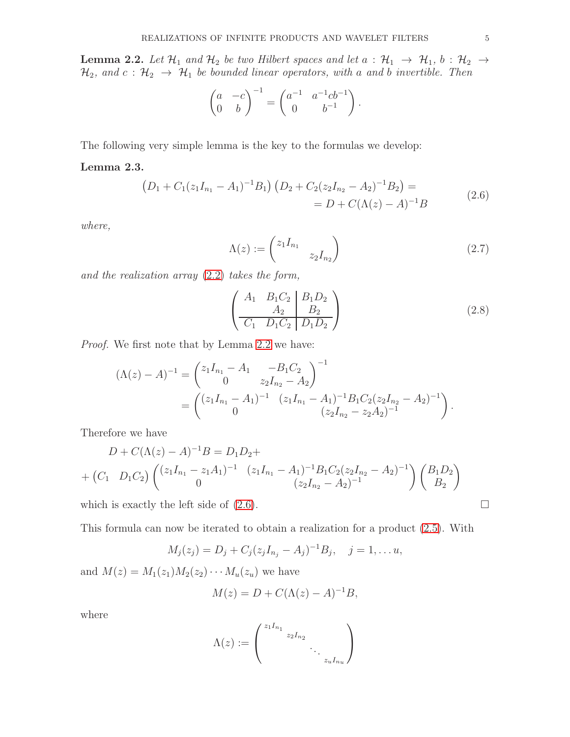<span id="page-6-1"></span>**Lemma 2.2.** Let  $\mathcal{H}_1$  and  $\mathcal{H}_2$  be two Hilbert spaces and let  $a : \mathcal{H}_1 \rightarrow \mathcal{H}_1$ ,  $b : \mathcal{H}_2 \rightarrow$  $\mathcal{H}_2$ , and  $c : \mathcal{H}_2 \rightarrow \mathcal{H}_1$  be bounded linear operators, with a and b invertible. Then

$$
\begin{pmatrix} a & -c \ 0 & b \end{pmatrix}^{-1} = \begin{pmatrix} a^{-1} & a^{-1}cb^{-1} \\ 0 & b^{-1} \end{pmatrix}.
$$

The following very simple lemma is the key to the formulas we develop:

#### <span id="page-6-2"></span><span id="page-6-0"></span>Lemma 2.3.

$$
(D_1 + C_1(z_1I_{n_1} - A_1)^{-1}B_1)(D_2 + C_2(z_2I_{n_2} - A_2)^{-1}B_2) =
$$
  
= D + C( $\Lambda(z) - A$ )<sup>-1</sup>B (2.6)

where,

<span id="page-6-3"></span>
$$
\Lambda(z) := \begin{pmatrix} z_1 I_{n_1} & & \\ & z_2 I_{n_2} \end{pmatrix} \tag{2.7}
$$

and the realization array [\(2.2\)](#page-5-3) takes the form,

$$
\left(\begin{array}{cc|c} A_1 & B_1C_2 & B_1D_2 \ A_2 & B_2 \ \hline C_1 & D_1C_2 & D_1D_2 \end{array}\right) (2.8)
$$

Proof. We first note that by Lemma [2.2](#page-6-1) we have:

$$
(\Lambda(z) - A)^{-1} = \begin{pmatrix} z_1 I_{n_1} - A_1 & -B_1 C_2 \\ 0 & z_2 I_{n_2} - A_2 \end{pmatrix}^{-1}
$$
  
= 
$$
\begin{pmatrix} (z_1 I_{n_1} - A_1)^{-1} & (z_1 I_{n_1} - A_1)^{-1} B_1 C_2 (z_2 I_{n_2} - A_2)^{-1} \\ 0 & (z_2 I_{n_2} - z_2 A_2)^{-1} \end{pmatrix}.
$$

Therefore we have

$$
D + C(\Lambda(z) - A)^{-1}B = D_1D_2 +
$$
  
+  $(C_1 \t D_1C_2) \begin{pmatrix} (z_1I_{n_1} - z_1A_1)^{-1} & (z_1I_{n_1} - A_1)^{-1}B_1C_2(z_2I_{n_2} - A_2)^{-1} \\ 0 & (z_2I_{n_2} - A_2)^{-1} \end{pmatrix} \begin{pmatrix} B_1D_2 \\ B_2 \end{pmatrix}$ 

which is exactly the left side of  $(2.6)$ .

This formula can now be iterated to obtain a realization for a product [\(2.5\)](#page-5-4). With

$$
M_j(z_j) = D_j + C_j(z_jI_{n_j} - A_j)^{-1}B_j, \quad j = 1, \dots u,
$$

and  $M(z) = M_1(z_1)M_2(z_2)\cdots M_u(z_u)$  we have

$$
M(z) = D + C(\Lambda(z) - A)^{-1}B,
$$

where

$$
\Lambda(z) := \begin{pmatrix} z_1 I_{n_1} & & \\ & z_2 I_{n_2} & \\ & & \ddots & \\ & & & z_u I_{n_u} \end{pmatrix}
$$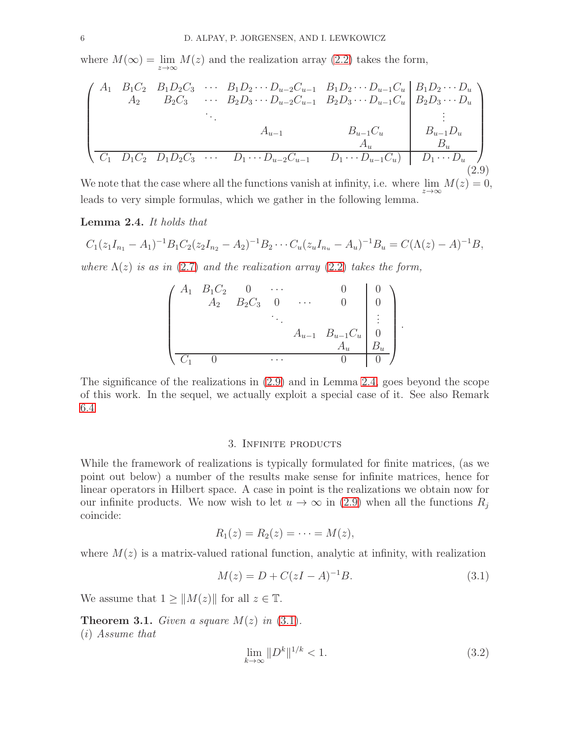where  $M(\infty) = \lim_{z \to \infty} M(z)$  and the realization array [\(2.2\)](#page-5-3) takes the form,

<span id="page-7-1"></span>
$$
\begin{pmatrix}\nA_1 & B_1C_2 & B_1D_2C_3 & \cdots & B_1D_2 \cdots D_{u-2}C_{u-1} & B_1D_2 \cdots D_{u-1}C_u & B_1D_2 \cdots D_u \\
A_2 & B_2C_3 & \cdots & B_2D_3 \cdots D_{u-2}C_{u-1} & B_2D_3 \cdots D_{u-1}C_u & B_2D_3 \cdots D_u \\
\vdots & \vdots & \ddots & \vdots & \vdots \\
A_{u-1} & B_{u-1}C_u & B_{u-1}D_u & \vdots \\
C_1 & D_1C_2 & D_1D_2C_3 & \cdots & D_1 \cdots D_{u-2}C_{u-1} & D_1 \cdots D_{u-1}C_u & D_1 \cdots D_u\n\end{pmatrix}
$$
\n(2.9)

We note that the case where all the functions vanish at infinity, i.e. where  $\lim_{z\to\infty}M(z)=0$ , leads to very simple formulas, which we gather in the following lemma.

<span id="page-7-2"></span>Lemma 2.4. It holds that

$$
C_1(z_1I_{n_1}-A_1)^{-1}B_1C_2(z_2I_{n_2}-A_2)^{-1}B_2\cdots C_u(z_uI_{n_u}-A_u)^{-1}B_u=C(\Lambda(z)-A)^{-1}B,
$$

where  $\Lambda(z)$  is as in [\(2.7\)](#page-6-3) and the realization array [\(2.2\)](#page-5-3) takes the form,

$$
\begin{pmatrix}\nA_1 & B_1C_2 & 0 & \cdots & 0 & 0 \\
A_2 & B_2C_3 & 0 & \cdots & 0 & 0 \\
\vdots & \vdots & \ddots & \vdots & \vdots \\
A_{u-1} & B_{u-1}C_u & 0 & A_u \\
\hline\nC_1 & 0 & \cdots & 0 & 0\n\end{pmatrix}.
$$

The significance of the realizations in [\(2.9\)](#page-7-1) and in Lemma [2.4,](#page-7-2) goes beyond the scope of this work. In the sequel, we actually exploit a special case of it. See also Remark [6.4](#page-16-0)

#### 3. Infinite products

<span id="page-7-0"></span>While the framework of realizations is typically formulated for finite matrices, (as we point out below) a number of the results make sense for infinite matrices, hence for linear operators in Hilbert space. A case in point is the realizations we obtain now for our infinite products. We now wish to let  $u \to \infty$  in [\(2.9\)](#page-7-1) when all the functions  $R_i$ coincide:

$$
R_1(z) = R_2(z) = \cdots = M(z),
$$

where  $M(z)$  is a matrix-valued rational function, analytic at infinity, with realization

<span id="page-7-3"></span>
$$
M(z) = D + C(zI - A)^{-1}B.
$$
 (3.1)

We assume that  $1 \geq ||M(z)||$  for all  $z \in \mathbb{T}$ .

**Theorem 3.1.** Given a square  $M(z)$  in  $(3.1)$ . (i) Assume that

<span id="page-7-4"></span>
$$
\lim_{k \to \infty} \|D^k\|^{1/k} < 1. \tag{3.2}
$$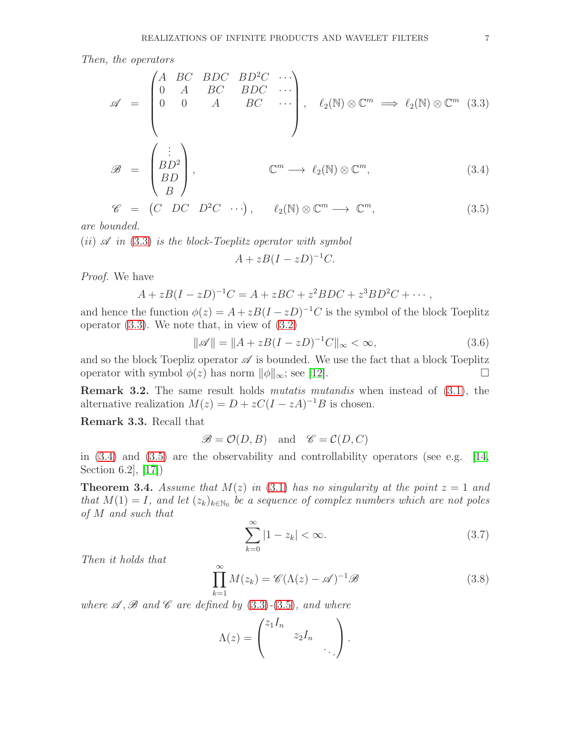Then, the operators

<span id="page-8-0"></span>
$$
\mathscr{A} = \begin{pmatrix} A & BC & BDC & BD^2C & \cdots \\ 0 & A & BC & BDC & \cdots \\ 0 & 0 & A & BC & \cdots \\ & & & & \end{pmatrix}, \quad \ell_2(\mathbb{N}) \otimes \mathbb{C}^m \implies \ell_2(\mathbb{N}) \otimes \mathbb{C}^m \quad (3.3)
$$
  

$$
\mathscr{B} = \begin{pmatrix} \vdots \\ BD^2 \end{pmatrix} \qquad \mathbb{C}^m \longrightarrow \ell_2(\mathbb{N}) \otimes \mathbb{C}^m \qquad (3.4)
$$

$$
\mathscr{B} = \begin{pmatrix} BD^2 \\ BD \\ B \end{pmatrix}, \qquad \mathbb{C}^m \longrightarrow \ell_2(\mathbb{N}) \otimes \mathbb{C}^m, \qquad (3.4)
$$

$$
\mathscr{C} = (C \quad DC \quad D^2C \quad \cdots), \qquad \ell_2(\mathbb{N}) \otimes \mathbb{C}^m \longrightarrow \mathbb{C}^m, \tag{3.5}
$$

are bounded.

(ii)  $\mathscr A$  in [\(3.3\)](#page-8-0) is the block-Toeplitz operator with symbol

$$
A + zB(I - zD)^{-1}C.
$$

Proof. We have

$$
A + zB(I - zD)^{-1}C = A + zBC + z^{2}BDC + z^{3}BD^{2}C + \cdots,
$$

and hence the function  $\phi(z) = A + zB(I - zD)^{-1}C$  is the symbol of the block Toeplitz operator  $(3.3)$ . We note that, in view of  $(3.2)$ 

$$
\|\mathscr{A}\| = \|A + zB(I - zD)^{-1}C\|_{\infty} < \infty,
$$
\n(3.6)

and so the block Toepliz operator  $\mathscr A$  is bounded. We use the fact that a block Toeplitz operator with symbol  $\phi(z)$  has norm  $\|\phi\|_{\infty}$ ; see [\[12\]](#page-17-16).

Remark 3.2. The same result holds mutatis mutandis when instead of [\(3.1\)](#page-7-3), the alternative realization  $M(z) = D + zC(I - zA)^{-1}B$  is chosen.

Remark 3.3. Recall that

$$
\mathcal{B} = \mathcal{O}(D, B) \quad \text{and} \quad \mathcal{C} = \mathcal{C}(D, C)
$$

in  $(3.4)$  and  $(3.5)$  are the observability and controllability operators (see e.g. [\[14,](#page-17-12) Section 6.2], [\[17\]](#page-17-14))

**Theorem 3.4.** Assume that  $M(z)$  in [\(3.1\)](#page-7-3) has no singularity at the point  $z = 1$  and that  $M(1) = I$ , and let  $(z_k)_{k \in \mathbb{N}_0}$  be a sequence of complex numbers which are not poles of M and such that

<span id="page-8-1"></span>
$$
\sum_{k=0}^{\infty} |1 - z_k| < \infty. \tag{3.7}
$$

Then it holds that

<span id="page-8-2"></span>
$$
\prod_{k=1}^{\infty} M(z_k) = \mathscr{C}(\Lambda(z) - \mathscr{A})^{-1} \mathscr{B}
$$
\n(3.8)

where  $\mathscr A$ ,  $\mathscr B$  and  $\mathscr C$  are defined by [\(3.3\)](#page-8-0)-[\(3.5\)](#page-8-0), and where

$$
\Lambda(z) = \begin{pmatrix} z_1 I_n & & \\ & z_2 I_n & \\ & & \ddots \end{pmatrix}.
$$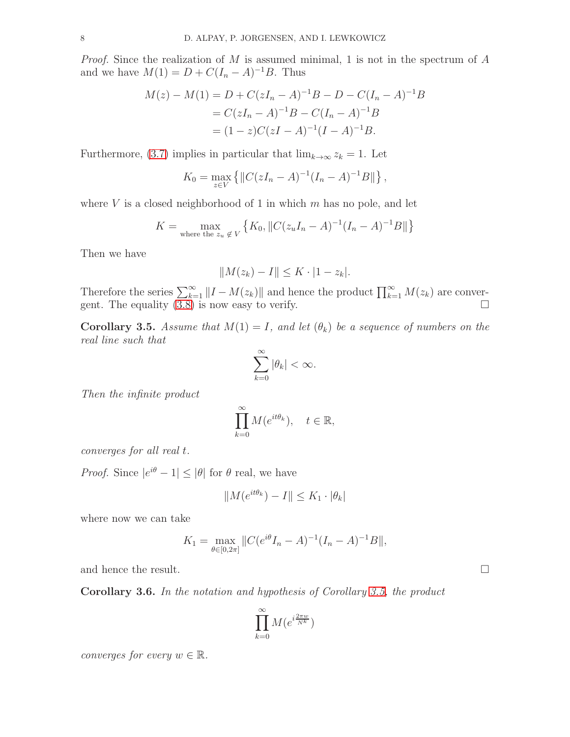*Proof.* Since the realization of  $M$  is assumed minimal, 1 is not in the spectrum of  $A$ and we have  $M(1) = D + C(I_n - A)^{-1}B$ . Thus

$$
M(z) - M(1) = D + C(zI_n - A)^{-1}B - D - C(I_n - A)^{-1}B
$$
  
=  $C(zI_n - A)^{-1}B - C(I_n - A)^{-1}B$   
=  $(1 - z)C(zI - A)^{-1}(I - A)^{-1}B$ .

Furthermore, [\(3.7\)](#page-8-1) implies in particular that  $\lim_{k\to\infty} z_k = 1$ . Let

$$
K_0 = \max_{z \in V} \{ ||C(zI_n - A)^{-1}(I_n - A)^{-1}B|| \},\,
$$

where  $V$  is a closed neighborhood of 1 in which  $m$  has no pole, and let

$$
K = \max_{\text{where the } z_u \notin V} \left\{ K_0, \|C(z_u I_n - A)^{-1} (I_n - A)^{-1} B\| \right\}
$$

Then we have

$$
||M(z_k) - I|| \leq K \cdot |1 - z_k|.
$$

Therefore the series  $\sum_{k=1}^{\infty} ||I - M(z_k)||$  and hence the product  $\prod_{k=1}^{\infty} M(z_k)$  are convergent. The equality  $(3.8)$  is now easy to verify.

<span id="page-9-0"></span>**Corollary 3.5.** Assume that  $M(1) = I$ , and let  $(\theta_k)$  be a sequence of numbers on the real line such that

$$
\sum_{k=0}^{\infty} |\theta_k| < \infty.
$$

Then the infinite product

$$
\prod_{k=0}^{\infty} M(e^{it\theta_k}), \quad t \in \mathbb{R},
$$

converges for all real t.

*Proof.* Since  $|e^{i\theta} - 1| \leq |\theta|$  for  $\theta$  real, we have

$$
||M(e^{it\theta_k}) - I|| \le K_1 \cdot |\theta_k|
$$

where now we can take

$$
K_1 = \max_{\theta \in [0, 2\pi]} \|C(e^{i\theta}I_n - A)^{-1}(I_n - A)^{-1}B\|,
$$

and hence the result.  $\Box$ 

Corollary 3.6. In the notation and hypothesis of Corollary [3.5,](#page-9-0) the product

$$
\prod_{k=0}^\infty M(e^{i\frac{2\pi w}{N^k}})
$$

converges for every  $w \in \mathbb{R}$ .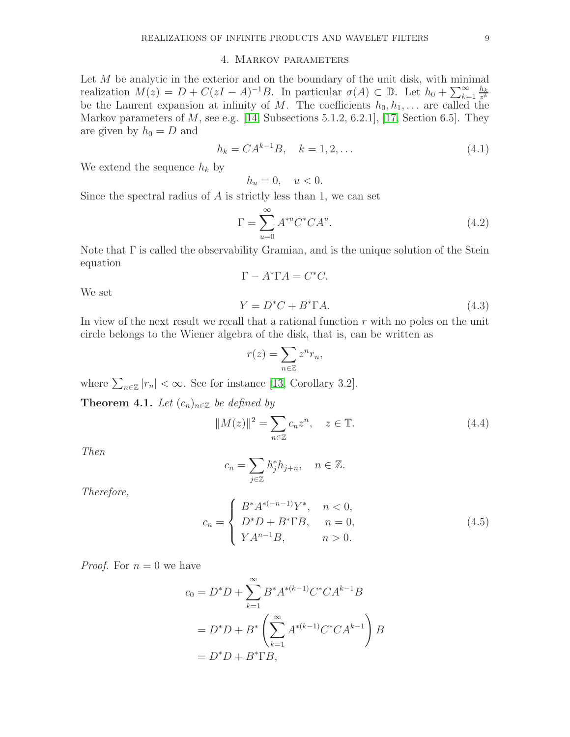#### 4. Markov parameters

<span id="page-10-0"></span>Let  $M$  be analytic in the exterior and on the boundary of the unit disk, with minimal realization  $M(z) = D + C(zI - A)^{-1}B$ . In particular  $\sigma(A) \subset \mathbb{D}$ . Let  $h_0 + \sum_{k=1}^{\infty} \frac{h_k}{z^k}$ z k be the Laurent expansion at infinity of M. The coefficients  $h_0, h_1, \ldots$  are called the Markov parameters of  $M$ , see e.g. [\[14,](#page-17-12) Subsections 5.1.2, 6.2.1], [\[17,](#page-17-14) Section 6.5]. They are given by  $h_0 = D$  and

$$
h_k = CA^{k-1}B, \quad k = 1, 2, \dots \tag{4.1}
$$

We extend the sequence  $h_k$  by

$$
h_u = 0, \quad u < 0.
$$

Since the spectral radius of A is strictly less than 1, we can set

<span id="page-10-1"></span>
$$
\Gamma = \sum_{u=0}^{\infty} A^{*u} C^* C A^u.
$$
\n(4.2)

Note that  $\Gamma$  is called the observability Gramian, and is the unique solution of the Stein equation

<span id="page-10-2"></span>
$$
\Gamma - A^* \Gamma A = C^* C.
$$
  
\n
$$
Y = D^* C + B^* \Gamma A.
$$
\n(4.3)

In view of the next result we recall that a rational function  $r$  with no poles on the unit circle belongs to the Wiener algebra of the disk, that is, can be written as

$$
r(z) = \sum_{n \in \mathbb{Z}} z^n r_n,
$$

where  $\sum_{n\in\mathbb{Z}}|r_n|<\infty$ . See for instance [\[13,](#page-17-17) Corollary 3.2].

Theorem 4.1. Let  $(c_n)_{n\in\mathbb{Z}}$  be defined by

<span id="page-10-4"></span>
$$
||M(z)||^2 = \sum_{n \in \mathbb{Z}} c_n z^n, \quad z \in \mathbb{T}.
$$
\n(4.4)

Then

We set

$$
c_n = \sum_{j \in \mathbb{Z}} h_j^* h_{j+n}, \quad n \in \mathbb{Z}.
$$

Therefore,

<span id="page-10-3"></span>
$$
c_n = \begin{cases} B^* A^{*(-n-1)} Y^*, & n < 0, \\ D^* D + B^* \Gamma B, & n = 0, \\ Y A^{n-1} B, & n > 0. \end{cases}
$$
 (4.5)

*Proof.* For  $n = 0$  we have

$$
c_0 = D^*D + \sum_{k=1}^{\infty} B^*A^{*(k-1)}C^*CA^{k-1}B
$$
  
=  $D^*D + B^* \left( \sum_{k=1}^{\infty} A^{*(k-1)}C^*CA^{k-1} \right)B$   
=  $D^*D + B^*TB$ ,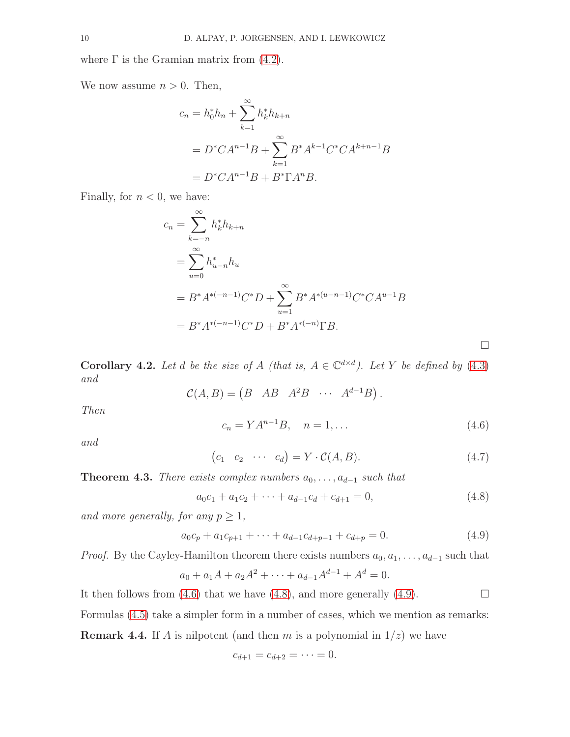where  $\Gamma$  is the Gramian matrix from  $(4.2)$ .

We now assume  $n > 0$ . Then,

$$
c_n = h_0^* h_n + \sum_{k=1}^{\infty} h_k^* h_{k+n}
$$
  
=  $D^* C A^{n-1} B + \sum_{k=1}^{\infty} B^* A^{k-1} C^* C A^{k+n-1} B$   
=  $D^* C A^{n-1} B + B^* \Gamma A^n B$ .

Finally, for  $n < 0$ , we have:

$$
c_n = \sum_{k=-n}^{\infty} h_k^* h_{k+n}
$$
  
=  $\sum_{u=0}^{\infty} h_{u-n}^* h_u$   
=  $B^* A^{*(-n-1)} C^* D + \sum_{u=1}^{\infty} B^* A^{*(u-n-1)} C^* C A^{u-1} B$   
=  $B^* A^{*(-n-1)} C^* D + B^* A^{*(-n)} \Gamma B$ .

**Corollary 4.2.** Let d be the size of A (that is,  $A \in \mathbb{C}^{d \times d}$ ). Let Y be defined by [\(4.3\)](#page-10-2) and

$$
\mathcal{C}(A, B) = \begin{pmatrix} B & AB & A^2B & \cdots & A^{d-1}B \end{pmatrix}.
$$

Then

<span id="page-11-0"></span>
$$
c_n = YA^{n-1}B, \quad n = 1, \dots \tag{4.6}
$$

 $\Box$ 

and

$$
(c_1 \quad c_2 \quad \cdots \quad c_d) = Y \cdot C(A, B). \tag{4.7}
$$

**Theorem 4.3.** There exists complex numbers  $a_0, \ldots, a_{d-1}$  such that

<span id="page-11-1"></span>
$$
a_0c_1 + a_1c_2 + \dots + a_{d-1}c_d + c_{d+1} = 0,
$$
\n
$$
(4.8)
$$

and more generally, for any  $p \geq 1$ ,

<span id="page-11-2"></span>
$$
a_0c_p + a_1c_{p+1} + \dots + a_{d-1}c_{d+p-1} + c_{d+p} = 0.
$$
\n(4.9)

*Proof.* By the Cayley-Hamilton theorem there exists numbers  $a_0, a_1, \ldots, a_{d-1}$  such that

$$
a_0 + a_1A + a_2A^2 + \dots + a_{d-1}A^{d-1} + A^d = 0.
$$

It then follows from [\(4.6\)](#page-11-0) that we have [\(4.8\)](#page-11-1), and more generally [\(4.9\)](#page-11-2).  $\Box$ 

Formulas [\(4.5\)](#page-10-3) take a simpler form in a number of cases, which we mention as remarks: **Remark 4.4.** If A is nilpotent (and then m is a polynomial in  $1/z$ ) we have

$$
c_{d+1} = c_{d+2} = \cdots = 0.
$$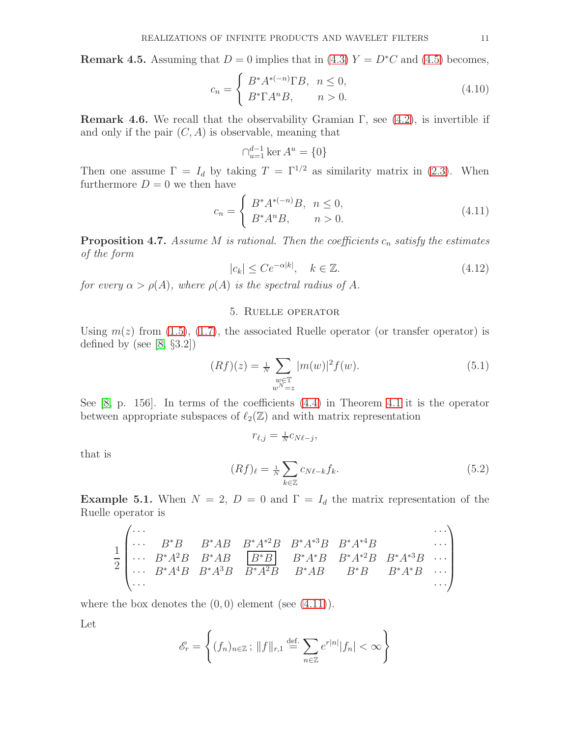**Remark 4.5.** Assuming that  $D = 0$  implies that in [\(4.3\)](#page-10-2)  $Y = D^*C$  and [\(4.5\)](#page-10-3) becomes,

$$
c_n = \begin{cases} B^* A^{*(-n)} \Gamma B, & n \le 0, \\ B^* \Gamma A^n B, & n > 0. \end{cases}
$$
 (4.10)

**Remark 4.6.** We recall that the observability Gramian  $\Gamma$ , see [\(4.2\)](#page-10-1), is invertible if and only if the pair  $(C, A)$  is observable, meaning that

$$
\bigcap_{u=1}^{d-1} \ker A^u = \{0\}
$$

Then one assume  $\Gamma = I_d$  by taking  $T = \Gamma^{1/2}$  as similarity matrix in [\(2.3\)](#page-5-5). When furthermore  $D = 0$  we then have

<span id="page-12-1"></span>
$$
c_n = \begin{cases} B^* A^{*(-n)} B, & n \le 0, \\ B^* A^n B, & n > 0. \end{cases}
$$
 (4.11)

**Proposition 4.7.** Assume M is rational. Then the coefficients  $c_n$  satisfy the estimates of the form

<span id="page-12-2"></span>
$$
|c_k| \le Ce^{-\alpha|k|}, \quad k \in \mathbb{Z}.\tag{4.12}
$$

<span id="page-12-0"></span>for every  $\alpha > \rho(A)$ , where  $\rho(A)$  is the spectral radius of A.

#### 5. Ruelle operator

Using  $m(z)$  from [\(1.5\)](#page-4-0), [\(1.7\)](#page-4-1), the associated Ruelle operator (or transfer operator) is defined by (see  $[8, §3.2]$ )

$$
(Rf)(z) = \frac{1}{N} \sum_{\substack{w \in \mathbb{T} \\ w^N = z}} |m(w)|^2 f(w).
$$
 (5.1)

See [\[8,](#page-17-2) p. 156]. In terms of the coefficients [\(4.4\)](#page-10-4) in Theorem [4.1](#page-10-3) it is the operator between appropriate subspaces of  $\ell_2(\mathbb{Z})$  and with matrix representation

 $r_{\ell,j} = \frac{1}{N} c_{N\ell-j},$ 

that is

<span id="page-12-3"></span>
$$
(Rf)_{\ell} = \frac{1}{N} \sum_{k \in \mathbb{Z}} c_{N\ell - k} f_k.
$$
\n(5.2)

**Example 5.1.** When  $N = 2$ ,  $D = 0$  and  $\Gamma = I_d$  the matrix representation of the Ruelle operator is

$$
\frac{1}{2} \begin{pmatrix} \cdots & B^*B & B^*AB & B^*A^{*2}B & B^*A^{*3}B & B^*A^{*4}B & \cdots \\ \cdots & B^*A^2B & B^*AB & \boxed{B^*B} & B^*A^*B & B^*A^{*2}B & B^*A^{*3}B & \cdots \\ \cdots & B^*A^4B & B^*A^3B & B^*A^2B & B^*AB & B^*B & B^*A^*B & \cdots \\ \cdots & & & & & & & \cdots \end{pmatrix}
$$

where the box denotes the  $(0, 0)$  element (see  $(4.11)$ ).

Let

$$
\mathscr{E}_r = \left\{ (f_n)_{n \in \mathbb{Z}}; ||f||_{r,1} \stackrel{\text{def.}}{=} \sum_{n \in \mathbb{Z}} e^{r|n|} |f_n| < \infty \right\}
$$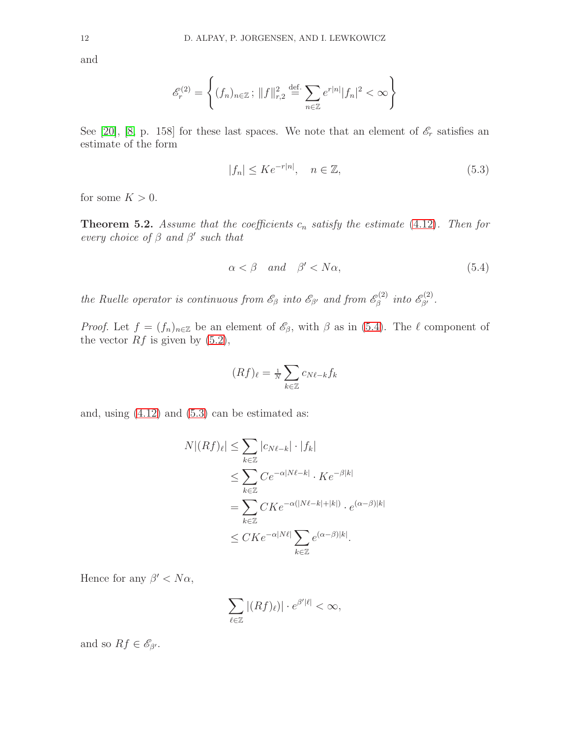and

$$
\mathcal{E}_r^{(2)} = \left\{ (f_n)_{n \in \mathbb{Z}}; ||f||_{r,2}^2 \stackrel{\text{def.}}{=} \sum_{n \in \mathbb{Z}} e^{r|n|} |f_n|^2 < \infty \right\}
$$

See [\[20\]](#page-17-18), [\[8,](#page-17-2) p. 158] for these last spaces. We note that an element of  $\mathscr{E}_r$  satisfies an estimate of the form

<span id="page-13-1"></span>
$$
|f_n| \le Ke^{-r|n|}, \quad n \in \mathbb{Z}, \tag{5.3}
$$

for some  $K > 0$ .

**Theorem 5.2.** Assume that the coefficients  $c_n$  satisfy the estimate [\(4.12\)](#page-12-2). Then for every choice of  $\beta$  and  $\beta'$  such that

<span id="page-13-0"></span>
$$
\alpha < \beta \quad and \quad \beta' < N\alpha,\tag{5.4}
$$

the Ruelle operator is continuous from  $\mathscr{E}_{\beta}$  into  $\mathscr{E}_{\beta'}$  and from  $\mathscr{E}_{\beta}^{(2)}$  $\stackrel{\circ}{\beta}^{(2)}$  into  $\mathscr{E}_{\beta'}^{(2)}$ .

*Proof.* Let  $f = (f_n)_{n \in \mathbb{Z}}$  be an element of  $\mathscr{E}_{\beta}$ , with  $\beta$  as in [\(5.4\)](#page-13-0). The  $\ell$  component of the vector  $Rf$  is given by  $(5.2)$ ,

$$
(Rf)_\ell = \tfrac{1}{N} \sum_{k \in \mathbb{Z}} c_{N\ell - k} f_k
$$

and, using  $(4.12)$  and  $(5.3)$  can be estimated as:

$$
N|(Rf)_{\ell}| \leq \sum_{k \in \mathbb{Z}} |c_{N\ell - k}| \cdot |f_k|
$$
  
\n
$$
\leq \sum_{k \in \mathbb{Z}} C e^{-\alpha |N\ell - k|} \cdot K e^{-\beta |k|}
$$
  
\n
$$
= \sum_{k \in \mathbb{Z}} C K e^{-\alpha (|N\ell - k| + |k|)} \cdot e^{(\alpha - \beta)|k|}
$$
  
\n
$$
\leq C K e^{-\alpha |N\ell|} \sum_{k \in \mathbb{Z}} e^{(\alpha - \beta)|k|}.
$$

Hence for any  $\beta' < N\alpha$ ,

$$
\sum_{\ell\in\mathbb{Z}}|(Rf)_\ell)|\cdot e^{\beta'|\ell|}<\infty,
$$

and so  $Rf \in \mathscr{E}_{\beta'}$ .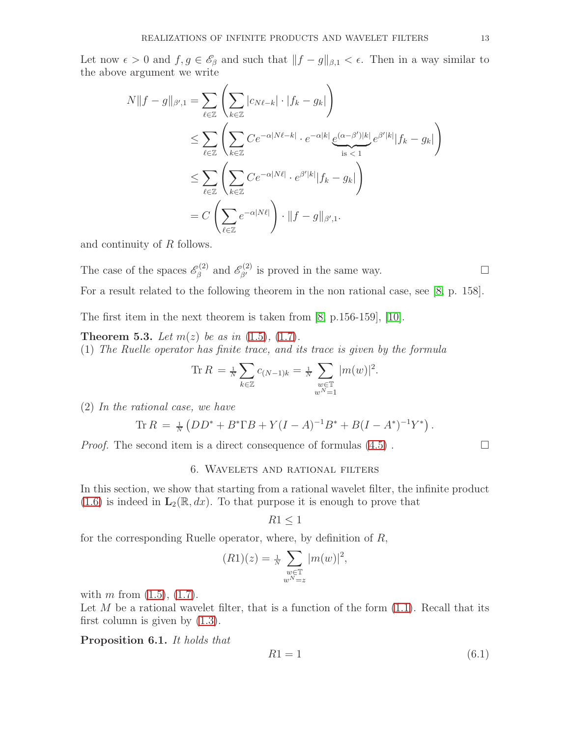Let now  $\epsilon > 0$  and  $f, g \in \mathscr{E}_{\beta}$  and such that  $||f - g||_{\beta,1} < \epsilon$ . Then in a way similar to the above argument we write

$$
N||f - g||_{\beta',1} = \sum_{\ell \in \mathbb{Z}} \left( \sum_{k \in \mathbb{Z}} |c_{N\ell - k}| \cdot |f_k - g_k| \right)
$$
  
\n
$$
\leq \sum_{\ell \in \mathbb{Z}} \left( \sum_{k \in \mathbb{Z}} C e^{-\alpha |N\ell - k|} \cdot e^{-\alpha |k|} \underbrace{e^{(\alpha - \beta')|k|}}_{\text{is} < 1} e^{\beta' |k|} |f_k - g_k| \right)
$$
  
\n
$$
\leq \sum_{\ell \in \mathbb{Z}} \left( \sum_{k \in \mathbb{Z}} C e^{-\alpha |N\ell|} \cdot e^{\beta' |k|} |f_k - g_k| \right)
$$
  
\n
$$
= C \left( \sum_{\ell \in \mathbb{Z}} e^{-\alpha |N\ell|} \right) \cdot ||f - g||_{\beta',1}.
$$

and continuity of R follows.

The case of the spaces  $\mathscr{E}_{\beta}^{(2)}$  $\beta_{\beta}^{(2)}$  and  $\mathscr{E}_{\beta'}^{(2)}$  is proved in the same way. For a result related to the following theorem in the non rational case, see [\[8,](#page-17-2) p. 158].

The first item in the next theorem is taken from [\[8,](#page-17-2) p.156-159], [\[10\]](#page-17-19).

**Theorem 5.3.** Let  $m(z)$  be as in  $(1.5)$ ,  $(1.7)$ . (1) The Ruelle operator has finite trace, and its trace is given by the formula

Tr 
$$
R = \frac{1}{N} \sum_{k \in \mathbb{Z}} c_{(N-1)k} = \frac{1}{N} \sum_{\substack{w \in \mathbb{T} \\ w^N = 1}} |m(w)|^2
$$
.

(2) In the rational case, we have

$$
\text{Tr}\,R\,=\, \tfrac{1}{N}\left(DD^* + B^*\Gamma B + Y(I-A)^{-1}B^* + B(I-A^*)^{-1}Y^*\right).
$$

<span id="page-14-0"></span>*Proof.* The second item is a direct consequence of formulas  $(4.5)$ .

#### 6. Wavelets and rational filters

In this section, we show that starting from a rational wavelet filter, the infinite product  $(1.6)$  is indeed in  $\mathbf{L}_2(\mathbb{R}, dx)$ . To that purpose it is enough to prove that

$$
R1 \leq 1
$$

for the corresponding Ruelle operator, where, by definition of R,

$$
(R1)(z) = \frac{1}{N} \sum_{\substack{w \in \mathbb{T} \\ w^N = z}} |m(w)|^2,
$$

with m from  $(1.5)$ ,  $(1.7)$ .

Let M be a rational wavelet filter, that is a function of the form  $(1.1)$ . Recall that its first column is given by [\(1.3\)](#page-3-2).

Proposition 6.1. It holds that

$$
R1 = 1\tag{6.1}
$$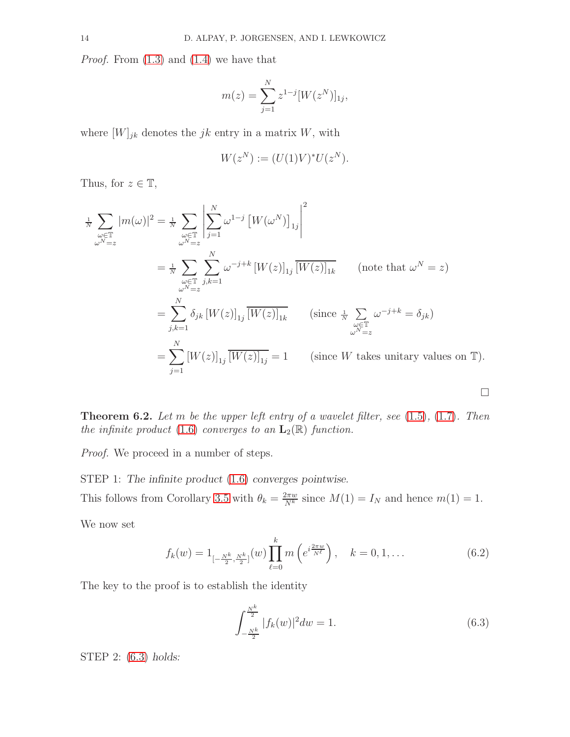Proof. From [\(1.3\)](#page-3-2) and [\(1.4\)](#page-3-3) we have that

$$
m(z) = \sum_{j=1}^{N} z^{1-j} [W(z^N)]_{1j},
$$

where  $[W]_{jk}$  denotes the  $jk$  entry in a matrix W, with

$$
W(z^N) := (U(1)V)^*U(z^N).
$$

Thus, for  $z \in \mathbb{T}$ ,

$$
\frac{1}{N} \sum_{\substack{\omega \in \mathbb{T} \\ \omega^{N}=z}} |m(\omega)|^{2} = \frac{1}{N} \sum_{\substack{\omega \in \mathbb{T} \\ \omega^{N}=z}} \sum_{j,k=1}^{N} \omega^{1-j} \left[ W(\omega^{N}) \right]_{1j} \left[ \frac{1}{W(z)} \right]_{1k} \quad (\text{note that } \omega^{N}=z)
$$
\n
$$
= \frac{1}{N} \sum_{\substack{\omega \in \mathbb{T} \\ \omega^{N}=z}} \sum_{j,k=1}^{N} \omega^{-j+k} \left[ W(z) \right]_{1j} \left[ \frac{1}{W(z)} \right]_{1k} \quad (\text{note that } \omega^{N}=z)
$$
\n
$$
= \sum_{j,k=1}^{N} \delta_{jk} \left[ W(z) \right]_{1j} \left[ \frac{1}{W(z)} \right]_{1k} \quad (\text{since } \frac{1}{N} \sum_{\substack{\omega \in \mathbb{T} \\ \omega^{N}=z}} \omega^{-j+k} = \delta_{jk})
$$
\n
$$
= \sum_{j=1}^{N} \left[ W(z) \right]_{1j} \left[ \frac{1}{W(z)} \right]_{1j} = 1 \quad (\text{since } W \text{ takes unitary values on } \mathbb{T}).
$$

**Theorem 6.2.** Let m be the upper left entry of a wavelet filter, see  $(1.5)$ ,  $(1.7)$ . Then the infinite product [\(1.6\)](#page-4-2) converges to an  $\mathbf{L}_2(\mathbb{R})$  function.

Proof. We proceed in a number of steps.

STEP 1: The infinite product [\(1.6\)](#page-4-2) converges pointwise. This follows from Corollary [3.5](#page-9-0) with  $\theta_k = \frac{2\pi w}{N^k}$  since  $M(1) = I_N$  and hence  $m(1) = 1$ . We now set

<span id="page-15-1"></span>
$$
f_k(w) = 1_{\left[-\frac{N^k}{2}, \frac{N^k}{2}\right]}(w) \prod_{\ell=0}^k m\left(e^{i\frac{2\pi w}{N^{\ell}}}\right), \quad k = 0, 1, \dots
$$
 (6.2)

The key to the proof is to establish the identity

<span id="page-15-0"></span>
$$
\int_{-\frac{N^k}{2}}^{\frac{N^k}{2}} |f_k(w)|^2 dw = 1.
$$
\n(6.3)

 $\Box$ 

STEP 2: [\(6.3\)](#page-15-0) holds: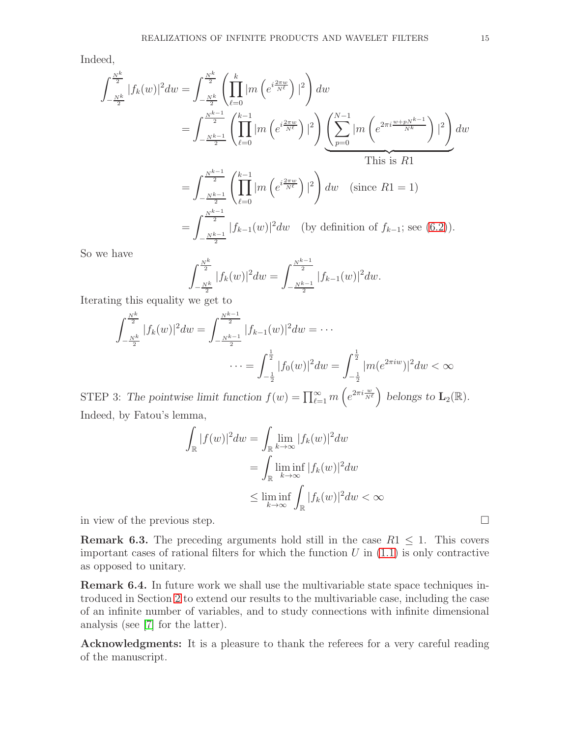Indeed,

$$
\int_{-\frac{N^{k}}{2}}^{\frac{N^{k}}{2}} |f_{k}(w)|^{2} dw = \int_{-\frac{N^{k}}{2}}^{\frac{N^{k}}{2}} \left( \prod_{\ell=0}^{k} |m \left( e^{i \frac{2 \pi w}{N^{\ell}}} \right)|^{2} \right) dw
$$
  
\n
$$
= \int_{-\frac{N^{k-1}}{2}}^{\frac{N^{k-1}}{2}} \left( \prod_{\ell=0}^{k-1} |m \left( e^{i \frac{2 \pi w}{N^{\ell}}} \right)|^{2} \right) \left( \sum_{p=0}^{N-1} |m \left( e^{2 \pi i \frac{w+pN^{k-1}}{N^k}} \right)|^{2} \right) dw
$$
  
\nThis is R1  
\n
$$
= \int_{-\frac{N^{k-1}}{2}}^{\frac{N^{k-1}}{2}} \left( \prod_{\ell=0}^{k-1} |m \left( e^{i \frac{2 \pi w}{N^{\ell}}} \right)|^{2} \right) dw \quad \text{(since R1 = 1)}
$$
  
\n
$$
= \int_{-\frac{N^{k-1}}{2}}^{\frac{N^{k-1}}{2}} |f_{k-1}(w)|^{2} dw \quad \text{(by definition of } f_{k-1}; \text{ see (6.2)).}
$$

So we have

$$
\int_{-\frac{N^k}{2}}^{\frac{N^k}{2}} |f_k(w)|^2 dw = \int_{-\frac{N^{k-1}}{2}}^{\frac{N^{k-1}}{2}} |f_{k-1}(w)|^2 dw.
$$

Iterating this equality we get to

$$
\int_{-\frac{N^k}{2}}^{\frac{N^k}{2}} |f_k(w)|^2 dw = \int_{-\frac{N^{k-1}}{2}}^{\frac{N^{k-1}}{2}} |f_{k-1}(w)|^2 dw = \cdots
$$

$$
\cdots = \int_{-\frac{1}{2}}^{\frac{1}{2}} |f_0(w)|^2 dw = \int_{-\frac{1}{2}}^{\frac{1}{2}} |m(e^{2\pi i w})|^2 dw < \infty
$$

STEP 3: The pointwise limit function  $f(w) = \prod_{\ell=1}^{\infty} m\left(e^{2\pi i \frac{w}{N^{\ell}}}\right)$  belongs to  $\mathbf{L}_2(\mathbb{R})$ . Indeed, by Fatou's lemma,

$$
\int_{\mathbb{R}} |f(w)|^2 dw = \int_{\mathbb{R}} \lim_{k \to \infty} |f_k(w)|^2 dw
$$

$$
= \int_{\mathbb{R}} \lim_{k \to \infty} |f_k(w)|^2 dw
$$

$$
\leq \liminf_{k \to \infty} \int_{\mathbb{R}} |f_k(w)|^2 dw < \infty
$$

in view of the previous step.

**Remark 6.3.** The preceding arguments hold still in the case  $R1 \leq 1$ . This covers important cases of rational filters for which the function  $U$  in  $(1.1)$  is only contractive as opposed to unitary.

<span id="page-16-0"></span>Remark 6.4. In future work we shall use the multivariable state space techniques introduced in Section [2](#page-5-0) to extend our results to the multivariable case, including the case of an infinite number of variables, and to study connections with infinite dimensional analysis (see [\[7\]](#page-17-20) for the latter).

Acknowledgments: It is a pleasure to thank the referees for a very careful reading of the manuscript.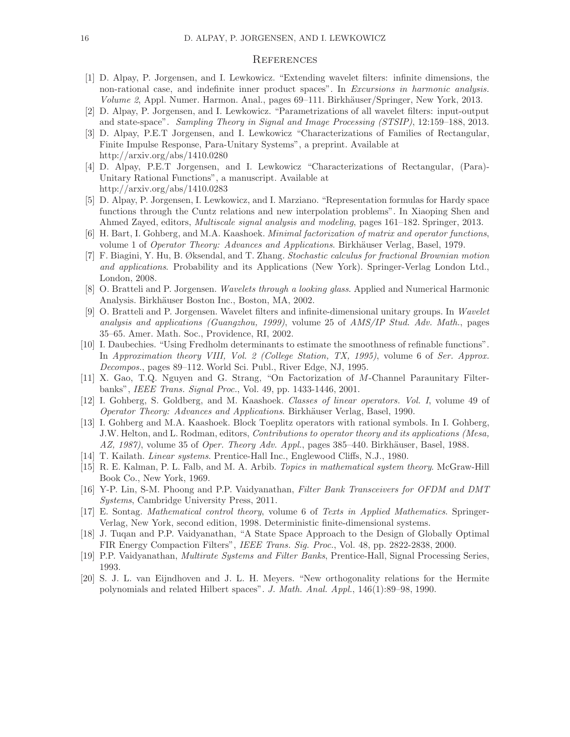#### <span id="page-17-0"></span>**REFERENCES**

- <span id="page-17-6"></span>[1] D. Alpay, P. Jorgensen, and I. Lewkowicz. "Extending wavelet filters: infinite dimensions, the non-rational case, and indefinite inner product spaces". In *Excursions in harmonic analysis. Volume 2, Appl. Numer. Harmon. Anal., pages 69–111. Birkhäuser/Springer, New York, 2013.*
- <span id="page-17-7"></span><span id="page-17-4"></span>[2] D. Alpay, P. Jorgensen, and I. Lewkowicz. "Parametrizations of all wavelet filters: input-output and state-space". *Sampling Theory in Signal and Image Processing (STSIP)*, 12:159–188, 2013.
- [3] D. Alpay, P.E.T Jorgensen, and I. Lewkowicz "Characterizations of Families of Rectangular, Finite Impulse Response, Para-Unitary Systems", a preprint. Available at http://arxiv.org/abs/1410.0280
- <span id="page-17-8"></span>[4] D. Alpay, P.E.T Jorgensen, and I. Lewkowicz "Characterizations of Rectangular, (Para)- Unitary Rational Functions", a manuscript. Available at http://arxiv.org/abs/1410.0283
- <span id="page-17-3"></span>[5] D. Alpay, P. Jorgensen, I. Lewkowicz, and I. Marziano. "Representation formulas for Hardy space functions through the Cuntz relations and new interpolation problems". In Xiaoping Shen and Ahmed Zayed, editors, *Multiscale signal analysis and modeling*, pages 161–182. Springer, 2013.
- <span id="page-17-20"></span><span id="page-17-15"></span>[6] H. Bart, I. Gohberg, and M.A. Kaashoek. *Minimal factorization of matrix and operator functions*, volume 1 of *Operator Theory: Advances and Applications*. Birkhäuser Verlag, Basel, 1979.
- [7] F. Biagini, Y. Hu, B. Øksendal, and T. Zhang. *Stochastic calculus for fractional Brownian motion and applications*. Probability and its Applications (New York). Springer-Verlag London Ltd., London, 2008.
- <span id="page-17-2"></span><span id="page-17-1"></span>[8] O. Bratteli and P. Jorgensen. *Wavelets through a looking glass*. Applied and Numerical Harmonic Analysis. Birkhäuser Boston Inc., Boston, MA, 2002.
- [9] O. Bratteli and P. Jorgensen. Wavelet filters and infinite-dimensional unitary groups. In *Wavelet analysis and applications (Guangzhou, 1999)*, volume 25 of *AMS/IP Stud. Adv. Math.*, pages 35–65. Amer. Math. Soc., Providence, RI, 2002.
- <span id="page-17-19"></span>[10] I. Daubechies. "Using Fredholm determinants to estimate the smoothness of refinable functions". In *Approximation theory VIII, Vol. 2 (College Station, TX, 1995)*, volume 6 of *Ser. Approx. Decompos.*, pages 89–112. World Sci. Publ., River Edge, NJ, 1995.
- <span id="page-17-5"></span>[11] X. Gao, T.Q. Nguyen and G. Strang, "On Factorization of M-Channel Paraunitary Filterbanks", *IEEE Trans. Signal Proc.*, Vol. 49, pp. 1433-1446, 2001.
- <span id="page-17-16"></span>[12] I. Gohberg, S. Goldberg, and M. Kaashoek. *Classes of linear operators. Vol. I*, volume 49 of *Operator Theory: Advances and Applications.* Birkhäuser Verlag, Basel, 1990.
- <span id="page-17-17"></span>[13] I. Gohberg and M.A. Kaashoek. Block Toeplitz operators with rational symbols. In I. Gohberg, J.W. Helton, and L. Rodman, editors, *Contributions to operator theory and its applications (Mesa, AZ, 1987*), volume 35 of *Oper. Theory Adv. Appl.*, pages 385–440. Birkhäuser, Basel, 1988.
- <span id="page-17-13"></span><span id="page-17-12"></span>[14] T. Kailath. *Linear systems*. Prentice-Hall Inc., Englewood Cliffs, N.J., 1980.
- [15] R. E. Kalman, P. L. Falb, and M. A. Arbib. *Topics in mathematical system theory*. McGraw-Hill Book Co., New York, 1969.
- <span id="page-17-11"></span>[16] Y-P. Lin, S-M. Phoong and P.P. Vaidyanathan, *Filter Bank Transceivers for OFDM and DMT Systems*, Cambridge University Press, 2011.
- <span id="page-17-14"></span>[17] E. Sontag. *Mathematical control theory*, volume 6 of *Texts in Applied Mathematics*. Springer-Verlag, New York, second edition, 1998. Deterministic finite-dimensional systems.
- <span id="page-17-9"></span>[18] J. Tuqan and P.P. Vaidyanathan, "A State Space Approach to the Design of Globally Optimal FIR Energy Compaction Filters", *IEEE Trans. Sig. Proc.*, Vol. 48, pp. 2822-2838, 2000.
- <span id="page-17-18"></span><span id="page-17-10"></span>[19] P.P. Vaidyanathan, *Multirate Systems and Filter Banks*, Prentice-Hall, Signal Processing Series, 1993.
- [20] S. J. L. van Eijndhoven and J. L. H. Meyers. "New orthogonality relations for the Hermite polynomials and related Hilbert spaces". *J. Math. Anal. Appl.*, 146(1):89–98, 1990.